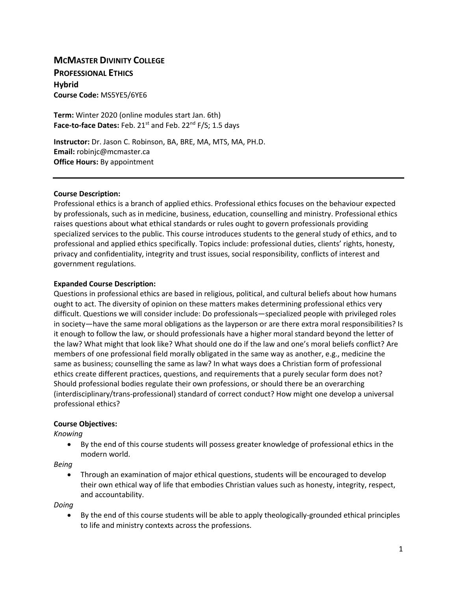# **MCMASTER DIVINITY COLLEGE**

**PROFESSIONAL ETHICS Hybrid Course Code:** MS5YE5/6YE6

**Term:** Winter 2020 (online modules start Jan. 6th) Face-to-face Dates: Feb. 21<sup>st</sup> and Feb. 22<sup>nd</sup> F/S; 1.5 days

**Instructor:** Dr. Jason C. Robinson, BA, BRE, MA, MTS, MA, PH.D. **Email:** [robinjc@mcmaster.ca](mailto:robinjc@mcmaster.ca) **Office Hours:** By appointment

#### **Course Description:**

Professional ethics is a branch of applied ethics. Professional ethics focuses on the behaviour expected by professionals, such as in medicine, business, education, counselling and ministry. Professional ethics raises questions about what ethical standards or rules ought to govern professionals providing specialized services to the public. This course introduces students to the general study of ethics, and to professional and applied ethics specifically. Topics include: professional duties, clients' rights, honesty, privacy and confidentiality, integrity and trust issues, social responsibility, conflicts of interest and government regulations.

#### **Expanded Course Description:**

Questions in professional ethics are based in religious, political, and cultural beliefs about how humans ought to act. The diversity of opinion on these matters makes determining professional ethics very difficult. Questions we will consider include: Do professionals—specialized people with privileged roles in society—have the same moral obligations as the layperson or are there extra moral responsibilities? Is it enough to follow the law, or should professionals have a higher moral standard beyond the letter of the law? What might that look like? What should one do if the law and one's moral beliefs conflict? Are members of one professional field morally obligated in the same way as another, e.g., medicine the same as business; counselling the same as law? In what ways does a Christian form of professional ethics create different practices, questions, and requirements that a purely secular form does not? Should professional bodies regulate their own professions, or should there be an overarching (interdisciplinary/trans-professional) standard of correct conduct? How might one develop a universal professional ethics?

### **Course Objectives:**

*Knowing*

• By the end of this course students will possess greater knowledge of professional ethics in the modern world.

*Being*

• Through an examination of major ethical questions, students will be encouraged to develop their own ethical way of life that embodies Christian values such as honesty, integrity, respect, and accountability.

*Doing*

• By the end of this course students will be able to apply theologically-grounded ethical principles to life and ministry contexts across the professions.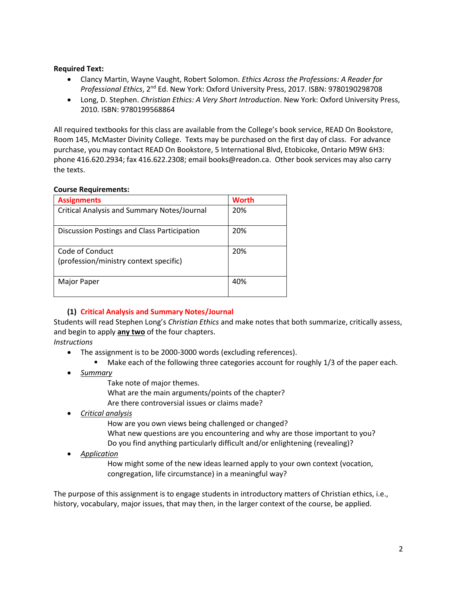### **Required Text:**

- Clancy Martin, Wayne Vaught, Robert Solomon. *Ethics Across the Professions: A Reader for Professional Ethics*, 2nd Ed. New York: Oxford University Press, 2017. ISBN: 9780190298708
- Long, D. Stephen. *Christian Ethics: A Very Short Introduction*. New York: Oxford University Press, 2010. ISBN: 9780199568864

All required textbooks for this class are available from the College's book service, READ On Bookstore, Room 145, McMaster Divinity College. Texts may be purchased on the first day of class. For advance purchase, you may contact READ On Bookstore, 5 International Blvd, Etobicoke, Ontario M9W 6H3: phone 416.620.2934; fax 416.622.2308; email books@readon.ca. Other book services may also carry the texts.

## **Course Requirements:**

| <b>Assignments</b>                                        | <b>Worth</b> |
|-----------------------------------------------------------|--------------|
| <b>Critical Analysis and Summary Notes/Journal</b>        | 20%          |
| Discussion Postings and Class Participation               | 20%          |
| Code of Conduct<br>(profession/ministry context specific) | 20%          |
|                                                           |              |
| Major Paper                                               | 40%          |

## **(1) Critical Analysis and Summary Notes/Journal**

Students will read Stephen Long's *Christian Ethics* and make notes that both summarize, critically assess, and begin to apply **any two** of the four chapters.

*Instructions*

- The assignment is to be 2000-3000 words (excluding references).
	- Make each of the following three categories account for roughly 1/3 of the paper each.
- *Summary*
	- Take note of major themes.
	- What are the main arguments/points of the chapter?
	- Are there controversial issues or claims made?
- *Critical analysis*

How are you own views being challenged or changed? What new questions are you encountering and why are those important to you? Do you find anything particularly difficult and/or enlightening (revealing)?

• *Application*

How might some of the new ideas learned apply to your own context (vocation, congregation, life circumstance) in a meaningful way?

The purpose of this assignment is to engage students in introductory matters of Christian ethics, i.e., history, vocabulary, major issues, that may then, in the larger context of the course, be applied.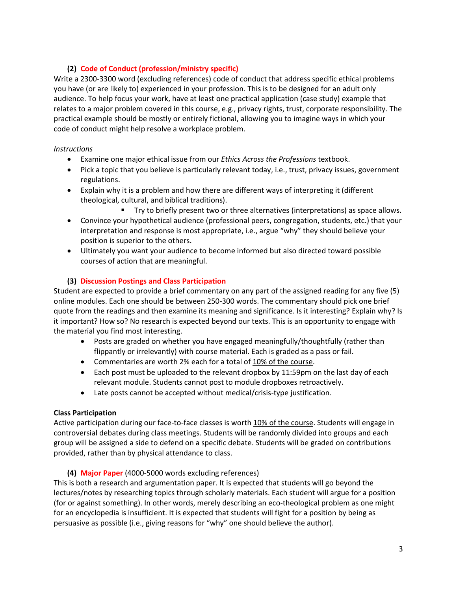## **(2) Code of Conduct (profession/ministry specific)**

Write a 2300-3300 word (excluding references) code of conduct that address specific ethical problems you have (or are likely to) experienced in your profession. This is to be designed for an adult only audience. To help focus your work, have at least one practical application (case study) example that relates to a major problem covered in this course, e.g., privacy rights, trust, corporate responsibility. The practical example should be mostly or entirely fictional, allowing you to imagine ways in which your code of conduct might help resolve a workplace problem.

## *Instructions*

- Examine one major ethical issue from our *Ethics Across the Professions* textbook.
- Pick a topic that you believe is particularly relevant today, i.e., trust, privacy issues, government regulations.
- Explain why it is a problem and how there are different ways of interpreting it (different theological, cultural, and biblical traditions).
	- Try to briefly present two or three alternatives (interpretations) as space allows.
- Convince your hypothetical audience (professional peers, congregation, students, etc.) that your interpretation and response is most appropriate, i.e., argue "why" they should believe your position is superior to the others.
- Ultimately you want your audience to become informed but also directed toward possible courses of action that are meaningful.

## **(3) Discussion Postings and Class Participation**

Student are expected to provide a brief commentary on any part of the assigned reading for any five (5) online modules. Each one should be between 250-300 words. The commentary should pick one brief quote from the readings and then examine its meaning and significance. Is it interesting? Explain why? Is it important? How so? No research is expected beyond our texts. This is an opportunity to engage with the material you find most interesting.

- Posts are graded on whether you have engaged meaningfully/thoughtfully (rather than flippantly or irrelevantly) with course material. Each is graded as a pass or fail.
- Commentaries are worth 2% each for a total of 10% of the course.
- Each post must be uploaded to the relevant dropbox by 11:59pm on the last day of each relevant module. Students cannot post to module dropboxes retroactively.
- Late posts cannot be accepted without medical/crisis-type justification.

## **Class Participation**

Active participation during our face-to-face classes is worth 10% of the course. Students will engage in controversial debates during class meetings. Students will be randomly divided into groups and each group will be assigned a side to defend on a specific debate. Students will be graded on contributions provided, rather than by physical attendance to class.

## **(4) Major Paper** (4000-5000 words excluding references)

This is both a research and argumentation paper. It is expected that students will go beyond the lectures/notes by researching topics through scholarly materials. Each student will argue for a position (for or against something). In other words, merely describing an eco-theological problem as one might for an encyclopedia is insufficient. It is expected that students will fight for a position by being as persuasive as possible (i.e., giving reasons for "why" one should believe the author).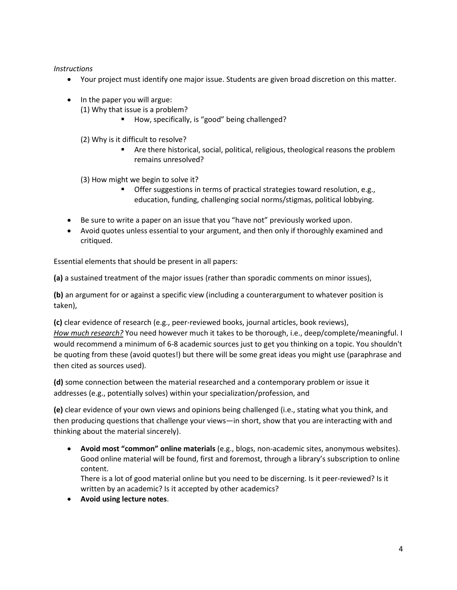*Instructions*

- Your project must identify one major issue. Students are given broad discretion on this matter.
- In the paper you will argue:
	- (1) Why that issue is a problem?
		- How, specifically, is "good" being challenged?
	- (2) Why is it difficult to resolve?
		- Are there historical, social, political, religious, theological reasons the problem remains unresolved?

(3) How might we begin to solve it?

- Offer suggestions in terms of practical strategies toward resolution, e.g., education, funding, challenging social norms/stigmas, political lobbying.
- Be sure to write a paper on an issue that you "have not" previously worked upon.
- Avoid quotes unless essential to your argument, and then only if thoroughly examined and critiqued.

Essential elements that should be present in all papers:

**(a)** a sustained treatment of the major issues (rather than sporadic comments on minor issues),

**(b)** an argument for or against a specific view (including a counterargument to whatever position is taken),

**(c)** clear evidence of research (e.g., peer-reviewed books, journal articles, book reviews), *How much research?* You need however much it takes to be thorough, i.e., deep/complete/meaningful. I would recommend a minimum of 6-8 academic sources just to get you thinking on a topic. You shouldn't be quoting from these (avoid quotes!) but there will be some great ideas you might use (paraphrase and then cited as sources used).

**(d)** some connection between the material researched and a contemporary problem or issue it addresses (e.g., potentially solves) within your specialization/profession, and

**(e)** clear evidence of your own views and opinions being challenged (i.e., stating what you think, and then producing questions that challenge your views—in short, show that you are interacting with and thinking about the material sincerely).

• **Avoid most "common" online materials** (e.g., blogs, non-academic sites, anonymous websites). Good online material will be found, first and foremost, through a library's subscription to online content.

There is a lot of good material online but you need to be discerning. Is it peer-reviewed? Is it written by an academic? Is it accepted by other academics?

• **Avoid using lecture notes**.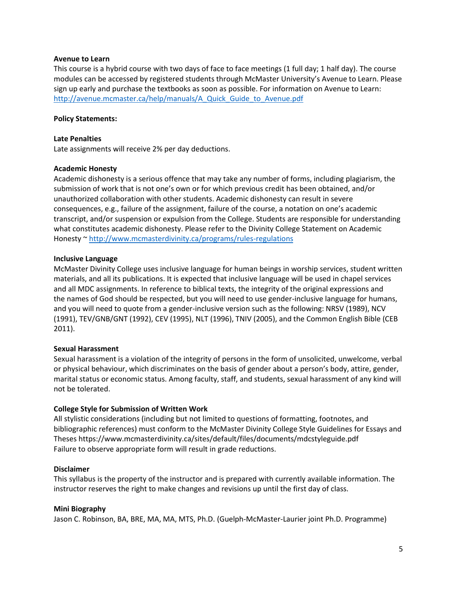#### **Avenue to Learn**

This course is a hybrid course with two days of face to face meetings (1 full day; 1 half day). The course modules can be accessed by registered students through McMaster University's Avenue to Learn. Please sign up early and purchase the textbooks as soon as possible. For information on Avenue to Learn: [http://avenue.mcmaster.ca/help/manuals/A\\_Quick\\_Guide\\_to\\_Avenue.pdf](http://avenue.mcmaster.ca/help/manuals/A_Quick_Guide_to_Avenue.pdf)

### **Policy Statements:**

#### **Late Penalties**

Late assignments will receive 2% per day deductions.

#### **Academic Honesty**

Academic dishonesty is a serious offence that may take any number of forms, including plagiarism, the submission of work that is not one's own or for which previous credit has been obtained, and/or unauthorized collaboration with other students. Academic dishonesty can result in severe consequences, e.g., failure of the assignment, failure of the course, a notation on one's academic transcript, and/or suspension or expulsion from the College. Students are responsible for understanding what constitutes academic dishonesty. Please refer to the Divinity College Statement on Academic Honesty ~<http://www.mcmasterdivinity.ca/programs/rules-regulations>

### **Inclusive Language**

McMaster Divinity College uses inclusive language for human beings in worship services, student written materials, and all its publications. It is expected that inclusive language will be used in chapel services and all MDC assignments. In reference to biblical texts, the integrity of the original expressions and the names of God should be respected, but you will need to use gender-inclusive language for humans, and you will need to quote from a gender-inclusive version such as the following: NRSV (1989), NCV (1991), TEV/GNB/GNT (1992), CEV (1995), NLT (1996), TNIV (2005), and the Common English Bible (CEB 2011).

### **Sexual Harassment**

Sexual harassment is a violation of the integrity of persons in the form of unsolicited, unwelcome, verbal or physical behaviour, which discriminates on the basis of gender about a person's body, attire, gender, marital status or economic status. Among faculty, staff, and students, sexual harassment of any kind will not be tolerated.

### **College Style for Submission of Written Work**

All stylistic considerations (including but not limited to questions of formatting, footnotes, and bibliographic references) must conform to the McMaster Divinity College Style Guidelines for Essays and Theses https://www.mcmasterdivinity.ca/sites/default/files/documents/mdcstyleguide.pdf Failure to observe appropriate form will result in grade reductions.

#### **Disclaimer**

This syllabus is the property of the instructor and is prepared with currently available information. The instructor reserves the right to make changes and revisions up until the first day of class.

#### **Mini Biography**

Jason C. Robinson, BA, BRE, MA, MA, MTS, Ph.D. (Guelph-McMaster-Laurier joint Ph.D. Programme)